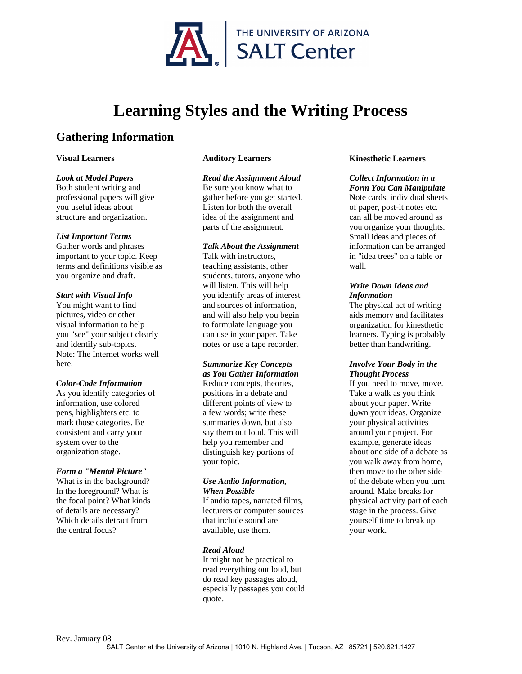

# **Learning Styles and the Writing Process**

# **Gathering Information**

# **Visual Learners**

# *Look at Model Papers*

Both student writing and professional papers will give you useful ideas about structure and organization.

# *List Important Terms*

Gather words and phrases important to your topic. Keep terms and definitions visible as you organize and draft.

# *Start with Visual Info*

You might want to find pictures, video or other visual information to help you "see" your subject clearly and identify sub-topics. Note: The Internet works well here.

# *Color-Code Information*

As you identify categories of information, use colored pens, highlighters etc. to mark those categories. Be consistent and carry your system over to the organization stage.

# *Form a "Mental Picture"*

What is in the background? In the foreground? What is the focal point? What kinds of details are necessary? Which details detract from the central focus?

# **Auditory Learners**

# *Read the Assignment Aloud*

Be sure you know what to gather before you get started. Listen for both the overall idea of the assignment and parts of the assignment.

# *Talk About the Assignment*

Talk with instructors, teaching assistants, other students, tutors, anyone who will listen. This will help you identify areas of interest and sources of information, and will also help you begin to formulate language you can use in your paper. Take notes or use a tape recorder.

# *Summarize Key Concepts*

*as You Gather Information*  Reduce concepts, theories, positions in a debate and different points of view to a few words; write these summaries down, but also say them out loud. This will help you remember and distinguish key portions of your topic.

#### *Use Audio Information, When Possible*

If audio tapes, narrated films, lecturers or computer sources that include sound are available, use them.

# *Read Aloud*

It might not be practical to read everything out loud, but do read key passages aloud, especially passages you could quote.

# **Kinesthetic Learners**

# *Collect Information in a*

*Form You Can Manipulate* Note cards, individual sheets of paper, post-it notes etc. can all be moved around as you organize your thoughts. Small ideas and pieces of information can be arranged in "idea trees" on a table or wall.

# *Write Down Ideas and Information*

The physical act of writing aids memory and facilitates organization for kinesthetic learners. Typing is probably better than handwriting.

# *Involve Your Body in the Thought Process*

If you need to move, move. Take a walk as you think about your paper. Write down your ideas. Organize your physical activities around your project. For example, generate ideas about one side of a debate as you walk away from home, then move to the other side of the debate when you turn around. Make breaks for physical activity part of each stage in the process. Give yourself time to break up your work.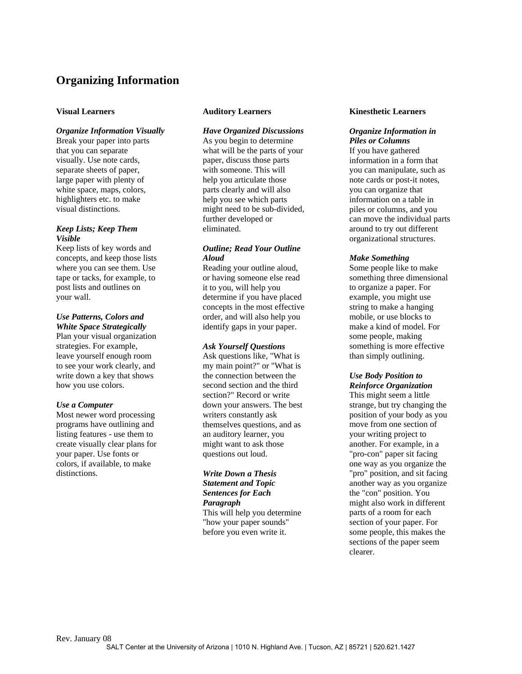# **Organizing Information**

# **Visual Learners**

# *Organize Information Visually*

Break your paper into parts that you can separate visually. Use note cards, separate sheets of paper, large paper with plenty of white space, maps, colors, highlighters etc. to make visual distinctions.

# *Keep Lists; Keep Them Visible*

Keep lists of key words and concepts, and keep those lists where you can see them. Use tape or tacks, for example, to post lists and outlines on your wall.

#### *Use Patterns, Colors and White Space Strategically*

Plan your visual organization strategies. For example, leave yourself enough room to see your work clearly, and write down a key that shows how you use colors.

#### *Use a Computer*

Most newer word processing programs have outlining and listing features - use them to create visually clear plans for your paper. Use fonts or colors, if available, to make distinctions.

# **Auditory Learners**

# *Have Organized Discussions*

As you begin to determine what will be the parts of your paper, discuss those parts with someone. This will help you articulate those parts clearly and will also help you see which parts might need to be sub-divided, further developed or eliminated.

# *Outline; Read Your Outline Aloud*

Reading your outline aloud, or having someone else read it to you, will help you determine if you have placed concepts in the most effective order, and will also help you identify gaps in your paper.

#### *Ask Yourself Questions*

Ask questions like, "What is my main point?" or "What is the connection between the second section and the third section?" Record or write down your answers. The best writers constantly ask themselves questions, and as an auditory learner, you might want to ask those questions out loud.

# *Write Down a Thesis Statement and Topic Sentences for Each Paragraph* This will help you determine "how your paper sounds"

before you even write it.

#### **Kinesthetic Learners**

#### *Organize Information in Piles or Columns*

If you have gathered information in a form that you can manipulate, such as note cards or post-it notes, you can organize that information on a table in piles or columns, and you can move the individual parts around to try out different organizational structures.

#### *Make Something*

Some people like to make something three dimensional to organize a paper. For example, you might use string to make a hanging mobile, or use blocks to make a kind of model. For some people, making something is more effective than simply outlining.

# *Use Body Position to*

*Reinforce Organization* This might seem a little strange, but try changing the position of your body as you move from one section of your writing project to another. For example, in a "pro-con" paper sit facing one way as you organize the "pro" position, and sit facing another way as you organize the "con" position. You might also work in different parts of a room for each section of your paper. For some people, this makes the sections of the paper seem clearer.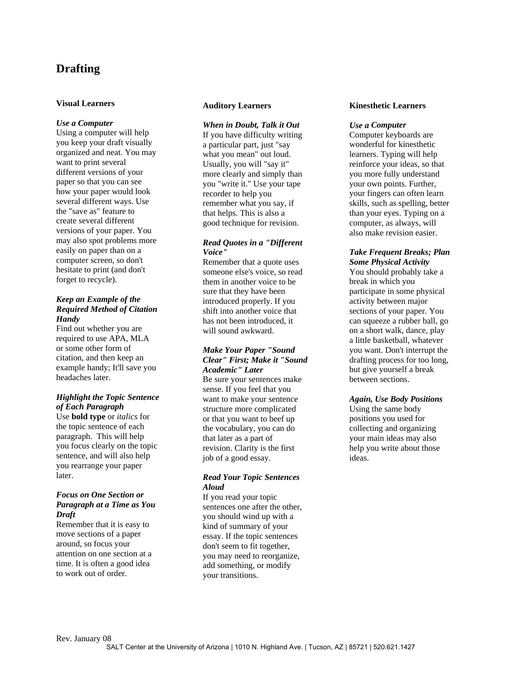# **Drafting**

# **Visual Learners**

#### *Use a Computer*

Using a computer will help you keep your draft visually organized and neat. You may want to print several different versions of your paper so that you can see how your paper would look several different ways. Use the "save as" feature to create several different versions of your paper. You may also spot problems more easily on paper than on a computer screen, so don't hesitate to print (and don't forget to recycle).

# *Keep an Example of the Required Method of Citation Handy*

Find out whether you are required to use APA, MLA or some other form of citation, and then keep an example handy; It'll save you headaches later.

# *Highlight the Topic Sentence of Each Paragraph*

Use **bold type** or *italics* for the topic sentence of each paragraph. This will help you focus clearly on the topic sentence, and will also help you rearrange your paper later.

# *Focus on One Section or Paragraph at a Time as You Draft*

Remember that it is easy to move sections of a paper around, so focus your attention on one section at a time. It is often a good idea to work out of order.

#### **Auditory Learners**

#### *When in Doubt, Talk it Out*

If you have difficulty writing a particular part, just "say what you mean" out loud. Usually, you will "say it" more clearly and simply than you "write it." Use your tape recorder to help you remember what you say, if that helps. This is also a good technique for revision.

# *Read Quotes in a "Different Voice"*

Remember that a quote uses someone else's voice, so read them in another voice to be sure that they have been introduced properly. If you shift into another voice that has not been introduced, it will sound awkward.

# *Make Your Paper "Sound Clear" First; Make it "Sound Academic" Later*

Be sure your sentences make sense. If you feel that you want to make your sentence structure more complicated or that you want to beef up the vocabulary, you can do that later as a part of revision. Clarity is the first job of a good essay.

# *Read Your Topic Sentences Aloud*

If you read your topic sentences one after the other, you should wind up with a kind of summary of your essay. If the topic sentences don't seem to fit together, you may need to reorganize, add something, or modify your transitions.

#### **Kinesthetic Learners**

#### *Use a Computer*

Computer keyboards are wonderful for kinesthetic learners. Typing will help reinforce your ideas, so that you more fully understand your own points. Further, your fingers can often learn skills, such as spelling, better than your eyes. Typing on a computer, as always, will also make revision easier.

# *Take Frequent Breaks; Plan Some Physical Activity*

You should probably take a break in which you participate in some physical activity between major sections of your paper. You can squeeze a rubber ball, go on a short walk, dance, play a little basketball, whatever you want. Don't interrupt the drafting process for too long, but give yourself a break between sections.

#### *Again, Use Body Positions*

Using the same body positions you used for collecting and organizing your main ideas may also help you write about those ideas.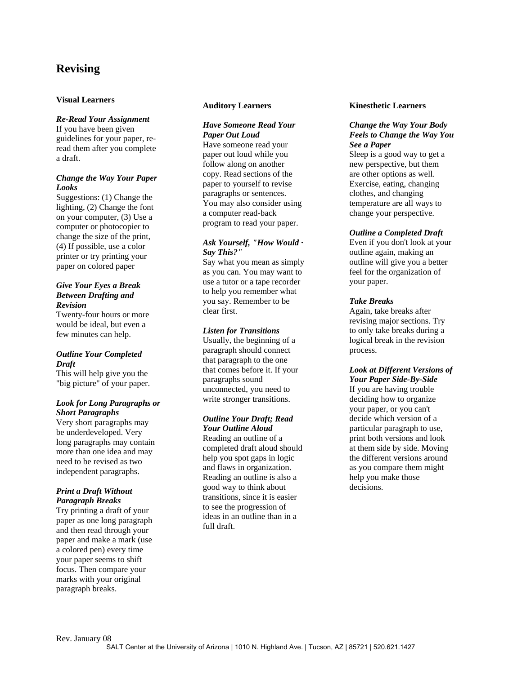# **Revising**

# **Visual Learners**

#### *Re-Read Your Assignment*

If you have been given guidelines for your paper, reread them after you complete a draft.

#### *Change the Way Your Paper Looks*

Suggestions: (1) Change the lighting, (2) Change the font on your computer, (3) Use a computer or photocopier to change the size of the print, (4) If possible, use a colo r printer or try printing you r paper on colored pape r

# *Give Your Eyes a Break Between Drafting and Revision*

Twenty-four hours or more would be ideal, but even a few minutes can help.

# *Outline Your Completed Draft*

This will help give you the "big picture" of your paper.

#### *Look for Long Paragraphs or Short Paragraphs*

Very short paragraphs may be underdeveloped. Very long paragraphs may contain more than one idea and may need to be revised as two independent paragraphs.

#### *Print a Draft Without Paragraph Breaks*

Try printing a draft of your paper as one long paragraph and then read through your paper and make a mark (use a colored pen) every time your paper seems to shift focus. Then compare your marks with your original paragraph breaks.

#### **Auditory Learners**

# *Have Someone Read Your Paper Out Loud*

Have someone read your paper out loud while you follow along on another copy. Read sections of the paper to yourself to revise paragraphs or sentences. You may also consider using a computer read-back program to read your paper.

## *Ask Yourself, "How Would · Say This?"*

Say what you mean as simply as you can. You may want to use a tutor or a tape recorder to help you remember what you say. Remember to be clear first.

#### *Listen for Transitions*

Usually, the beginning of a paragraph should connect that paragraph to the one that comes before it. If your paragraphs sound unconnected, you need to write stronger transitions.

#### *Outline Your Draft; Read Your Outline Aloud*

Reading an outline of a completed draft aloud should help you spot gaps in logic and flaws in organization. Reading an outline is also a good way to think about transitions, since it is easier to see the progression of ideas in an outline than in a full draft.

#### **Kinesthetic Learners**

# *Change the Way Your Body Feels to Change the Way You See a Paper*

Sleep is a good way to get a new perspective, but them are other options as well. Exercise, eating, changing clothes, and changing temperature are all ways to change your perspective.

#### *Outline a Completed Draft*

Even if you don't look at your outline again, making an outline will give you a better feel for the organization of your paper.

#### *Take Breaks*

Again, take breaks after revising major sections. Try to only take breaks during a logical break in the revision process.

#### *Look at Different Versions of Your Paper Side-By-Side*

If you are having trouble deciding how to organize your paper, or you can't decide which version of a particular paragraph to use, print both versions and look at them side by side. Moving the different versions around as you compare them might help you make those decisions.